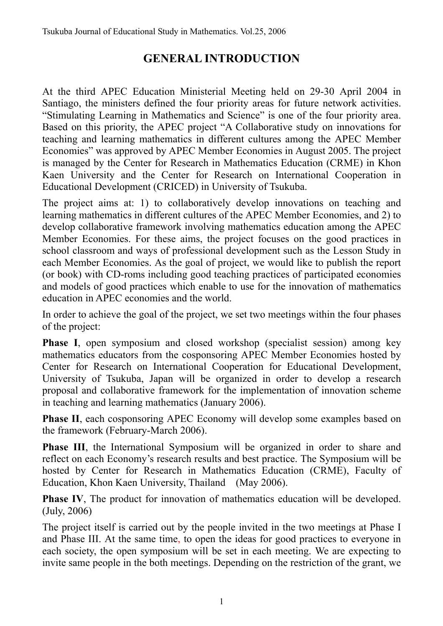# **GENERAL INTRODUCTION**

At the third APEC Education Ministerial Meeting held on 29-30 April 2004 in Santiago, the ministers defined the four priority areas for future network activities. "Stimulating Learning in Mathematics and Science" is one of the four priority area. Based on this priority, the APEC project "A Collaborative study on innovations for teaching and learning mathematics in different cultures among the APEC Member Economies" was approved by APEC Member Economies in August 2005. The project is managed by the Center for Research in Mathematics Education (CRME) in Khon Kaen University and the Center for Research on International Cooperation in Educational Development (CRICED) in University of Tsukuba.

The project aims at: 1) to collaboratively develop innovations on teaching and learning mathematics in different cultures of the APEC Member Economies, and 2) to develop collaborative framework involving mathematics education among the APEC Member Economies. For these aims, the project focuses on the good practices in school classroom and ways of professional development such as the Lesson Study in each Member Economies. As the goal of project, we would like to publish the report (or book) with CD-roms including good teaching practices of participated economies and models of good practices which enable to use for the innovation of mathematics education in APEC economies and the world.

In order to achieve the goal of the project, we set two meetings within the four phases of the project:

**Phase I**, open symposium and closed workshop (specialist session) among key mathematics educators from the cosponsoring APEC Member Economies hosted by Center for Research on International Cooperation for Educational Development, University of Tsukuba, Japan will be organized in order to develop a research proposal and collaborative framework for the implementation of innovation scheme in teaching and learning mathematics (January 2006).

**Phase II**, each cosponsoring APEC Economy will develop some examples based on the framework (February-March 2006).

**Phase III**, the International Symposium will be organized in order to share and reflect on each Economy's research results and best practice. The Symposium will be hosted by Center for Research in Mathematics Education (CRME), Faculty of Education, Khon Kaen University, Thailand (May 2006).

**Phase IV**, The product for innovation of mathematics education will be developed. (July, 2006)

The project itself is carried out by the people invited in the two meetings at Phase I and Phase III. At the same time, to open the ideas for good practices to everyone in each society, the open symposium will be set in each meeting. We are expecting to invite same people in the both meetings. Depending on the restriction of the grant, we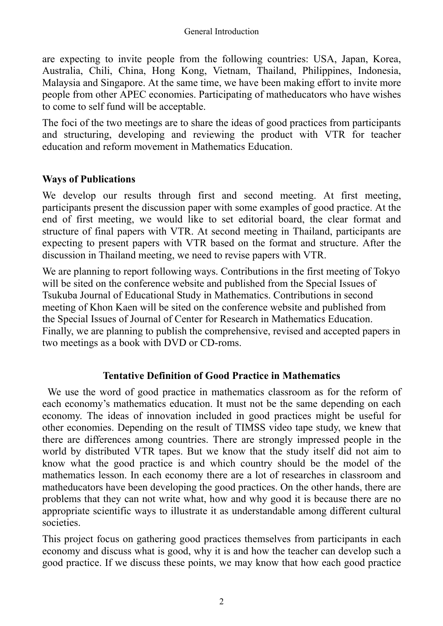are expecting to invite people from the following countries: USA, Japan, Korea, Australia, Chili, China, Hong Kong, Vietnam, Thailand, Philippines, Indonesia, Malaysia and Singapore. At the same time, we have been making effort to invite more people from other APEC economies. Participating of matheducators who have wishes to come to self fund will be acceptable.

The foci of the two meetings are to share the ideas of good practices from participants and structuring, developing and reviewing the product with VTR for teacher education and reform movement in Mathematics Education.

### **Ways of Publications**

We develop our results through first and second meeting. At first meeting, participants present the discussion paper with some examples of good practice. At the end of first meeting, we would like to set editorial board, the clear format and structure of final papers with VTR. At second meeting in Thailand, participants are expecting to present papers with VTR based on the format and structure. After the discussion in Thailand meeting, we need to revise papers with VTR.

We are planning to report following ways. Contributions in the first meeting of Tokyo will be sited on the conference website and published from the Special Issues of Tsukuba Journal of Educational Study in Mathematics. Contributions in second meeting of Khon Kaen will be sited on the conference website and published from the Special Issues of Journal of Center for Research in Mathematics Education. Finally, we are planning to publish the comprehensive, revised and accepted papers in two meetings as a book with DVD or CD-roms.

### **Tentative Definition of Good Practice in Mathematics**

 We use the word of good practice in mathematics classroom as for the reform of each economy's mathematics education. It must not be the same depending on each economy. The ideas of innovation included in good practices might be useful for other economies. Depending on the result of TIMSS video tape study, we knew that there are differences among countries. There are strongly impressed people in the world by distributed VTR tapes. But we know that the study itself did not aim to know what the good practice is and which country should be the model of the mathematics lesson. In each economy there are a lot of researches in classroom and matheducators have been developing the good practices. On the other hands, there are problems that they can not write what, how and why good it is because there are no appropriate scientific ways to illustrate it as understandable among different cultural societies.

This project focus on gathering good practices themselves from participants in each economy and discuss what is good, why it is and how the teacher can develop such a good practice. If we discuss these points, we may know that how each good practice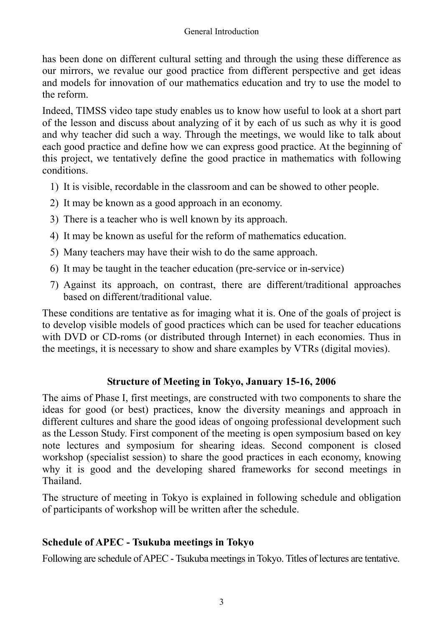has been done on different cultural setting and through the using these difference as our mirrors, we revalue our good practice from different perspective and get ideas and models for innovation of our mathematics education and try to use the model to the reform.

Indeed, TIMSS video tape study enables us to know how useful to look at a short part of the lesson and discuss about analyzing of it by each of us such as why it is good and why teacher did such a way. Through the meetings, we would like to talk about each good practice and define how we can express good practice. At the beginning of this project, we tentatively define the good practice in mathematics with following conditions.

- 1) It is visible, recordable in the classroom and can be showed to other people.
- 2) It may be known as a good approach in an economy.
- 3) There is a teacher who is well known by its approach.
- 4) It may be known as useful for the reform of mathematics education.
- 5) Many teachers may have their wish to do the same approach.
- 6) It may be taught in the teacher education (pre-service or in-service)
- 7) Against its approach, on contrast, there are different/traditional approaches based on different/traditional value.

These conditions are tentative as for imaging what it is. One of the goals of project is to develop visible models of good practices which can be used for teacher educations with DVD or CD-roms (or distributed through Internet) in each economies. Thus in the meetings, it is necessary to show and share examples by VTRs (digital movies).

## **Structure of Meeting in Tokyo, January 15-16, 2006**

The aims of Phase I, first meetings, are constructed with two components to share the ideas for good (or best) practices, know the diversity meanings and approach in different cultures and share the good ideas of ongoing professional development such as the Lesson Study. First component of the meeting is open symposium based on key note lectures and symposium for shearing ideas. Second component is closed workshop (specialist session) to share the good practices in each economy, knowing why it is good and the developing shared frameworks for second meetings in Thailand.

The structure of meeting in Tokyo is explained in following schedule and obligation of participants of workshop will be written after the schedule.

## **Schedule of APEC - Tsukuba meetings in Tokyo**

Following are schedule of APEC - Tsukuba meetings in Tokyo. Titles of lectures are tentative.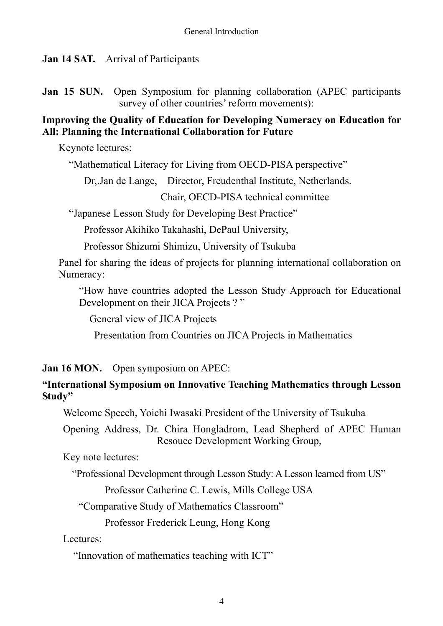**Jan 14 SAT.** Arrival of Participants

**Jan 15 SUN.** Open Symposium for planning collaboration (APEC participants survey of other countries' reform movements):

### **Improving the Quality of Education for Developing Numeracy on Education for All: Planning the International Collaboration for Future**

Keynote lectures:

"Mathematical Literacy for Living from OECD-PISA perspective"

Dr,.Jan de Lange, Director, Freudenthal Institute, Netherlands.

Chair, OECD-PISA technical committee

"Japanese Lesson Study for Developing Best Practice"

Professor Akihiko Takahashi, DePaul University,

Professor Shizumi Shimizu, University of Tsukuba

Panel for sharing the ideas of projects for planning international collaboration on Numeracy:

"How have countries adopted the Lesson Study Approach for Educational Development on their JICA Projects ?"

General view of JICA Projects

Presentation from Countries on JICA Projects in Mathematics

**Jan 16 MON.** Open symposium on APEC:

### **"International Symposium on Innovative Teaching Mathematics through Lesson Study"**

Welcome Speech, Yoichi Iwasaki President of the University of Tsukuba

Opening Address, Dr. Chira Hongladrom, Lead Shepherd of APEC Human Resouce Development Working Group,

Key note lectures:

"Professional Development through Lesson Study: A Lesson learned from US"

Professor Catherine C. Lewis, Mills College USA

"Comparative Study of Mathematics Classroom"

Professor Frederick Leung, Hong Kong

Lectures:

"Innovation of mathematics teaching with ICT"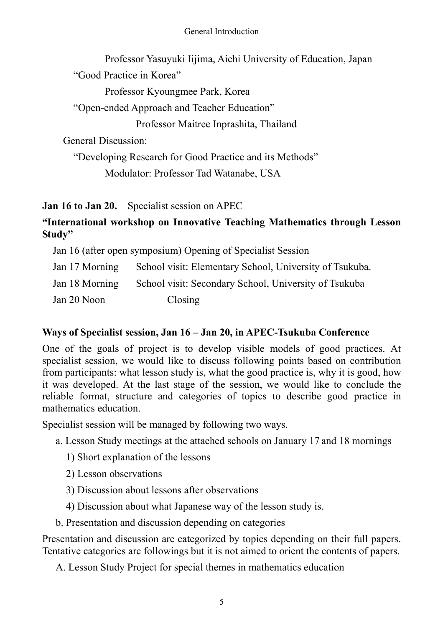#### General Introduction

 Professor Yasuyuki Iijima, Aichi University of Education, Japan "Good Practice in Korea"

Professor Kyoungmee Park, Korea

"Open-ended Approach and Teacher Education"

Professor Maitree Inprashita, Thailand

General Discussion:

"Developing Research for Good Practice and its Methods"

Modulator: Professor Tad Watanabe, USA

**Jan 16 to Jan 20.** Specialist session on APEC

## **"International workshop on Innovative Teaching Mathematics through Lesson Study"**

Jan 16 (after open symposium) Opening of Specialist Session

| Jan 17 Morning | School visit: Elementary School, University of Tsukuba. |
|----------------|---------------------------------------------------------|
| Jan 18 Morning | School visit: Secondary School, University of Tsukuba   |
| Jan 20 Noon    | Closing                                                 |

## **Ways of Specialist session, Jan 16 – Jan 20, in APEC-Tsukuba Conference**

One of the goals of project is to develop visible models of good practices. At specialist session, we would like to discuss following points based on contribution from participants: what lesson study is, what the good practice is, why it is good, how it was developed. At the last stage of the session, we would like to conclude the reliable format, structure and categories of topics to describe good practice in mathematics education.

Specialist session will be managed by following two ways.

- a. Lesson Study meetings at the attached schools on January 17 and 18 mornings
	- 1) Short explanation of the lessons
	- 2) Lesson observations
	- 3) Discussion about lessons after observations
	- 4) Discussion about what Japanese way of the lesson study is.
- b. Presentation and discussion depending on categories

Presentation and discussion are categorized by topics depending on their full papers. Tentative categories are followings but it is not aimed to orient the contents of papers.

A. Lesson Study Project for special themes in mathematics education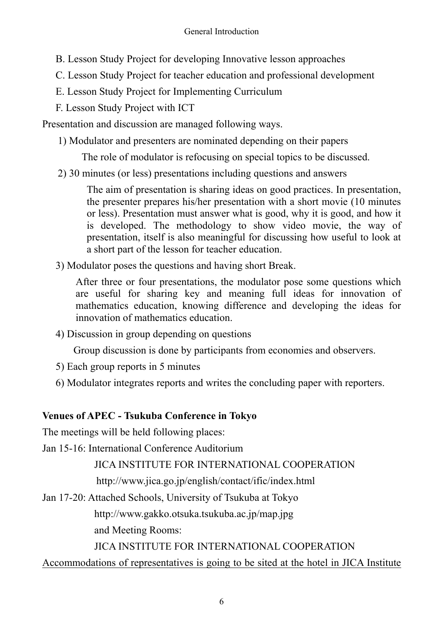- B. Lesson Study Project for developing Innovative lesson approaches
- C. Lesson Study Project for teacher education and professional development
- E. Lesson Study Project for Implementing Curriculum
- F. Lesson Study Project with ICT

Presentation and discussion are managed following ways.

1) Modulator and presenters are nominated depending on their papers

The role of modulator is refocusing on special topics to be discussed.

2) 30 minutes (or less) presentations including questions and answers

The aim of presentation is sharing ideas on good practices. In presentation, the presenter prepares his/her presentation with a short movie (10 minutes or less). Presentation must answer what is good, why it is good, and how it is developed. The methodology to show video movie, the way of presentation, itself is also meaningful for discussing how useful to look at a short part of the lesson for teacher education.

3) Modulator poses the questions and having short Break.

After three or four presentations, the modulator pose some questions which are useful for sharing key and meaning full ideas for innovation of mathematics education, knowing difference and developing the ideas for innovation of mathematics education.

4) Discussion in group depending on questions

Group discussion is done by participants from economies and observers.

- 5) Each group reports in 5 minutes
- 6) Modulator integrates reports and writes the concluding paper with reporters.

# **Venues of APEC - Tsukuba Conference in Tokyo**

The meetings will be held following places:

Jan 15-16: International Conference Auditorium

JICA INSTITUTE FOR INTERNATIONAL COOPERATION

http://www.jica.go.jp/english/contact/ific/index.html

Jan 17-20: Attached Schools, University of Tsukuba at Tokyo

http://www.gakko.otsuka.tsukuba.ac.jp/map.jpg

and Meeting Rooms:

JICA INSTITUTE FOR INTERNATIONAL COOPERATION

Accommodations of representatives is going to be sited at the hotel in JICA Institute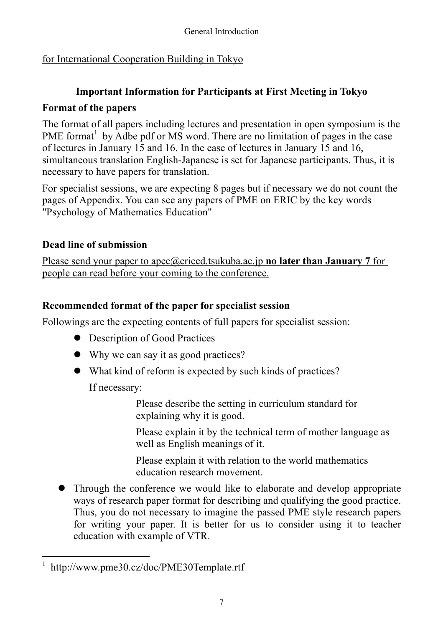# for International Cooperation Building in Tokyo

## **Important Information for Participants at First Meeting in Tokyo**

## **Format of the papers**

The format of all papers including lectures and presentation in open symposium is the PME format<sup>1</sup> by Adbe pdf or MS word. There are no limitation of pages in the case of lectures in January 15 and 16. In the case of lectures in January 15 and 16, simultaneous translation English-Japanese is set for Japanese participants. Thus, it is necessary to have papers for translation.

For specialist sessions, we are expecting 8 pages but if necessary we do not count the pages of Appendix. You can see any papers of PME on ERIC by the key words "Psychology of Mathematics Education"

# **Dead line of submission**

Please send your paper to apec@criced.tsukuba.ac.jp **no later than January 7** for people can read before your coming to the conference.

# **Recommended format of the paper for specialist session**

Followings are the expecting contents of full papers for specialist session:

- Description of Good Practices
- Why we can say it as good practices?
- $\bullet$  What kind of reform is expected by such kinds of practices? If necessary:

Please describe the setting in curriculum standard for

explaining why it is good.

Please explain it by the technical term of mother language as well as English meanings of it.

Please explain it with relation to the world mathematics education research movement.

• Through the conference we would like to elaborate and develop appropriate ways of research paper format for describing and qualifying the good practice. Thus, you do not necessary to imagine the passed PME style research papers for writing your paper. It is better for us to consider using it to teacher education with example of VTR.

 $\overline{a}$ 1 http://www.pme30.cz/doc/PME30Template.rtf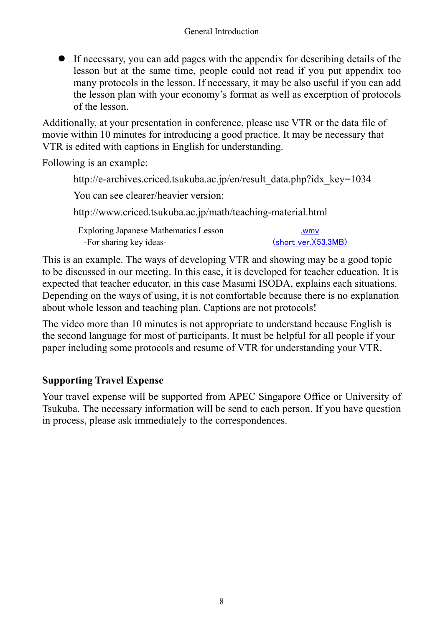• If necessary, you can add pages with the appendix for describing details of the lesson but at the same time, people could not read if you put appendix too many protocols in the lesson. If necessary, it may be also useful if you can add the lesson plan with your economy's format as well as excerption of protocols of the lesson.

Additionally, at your presentation in conference, please use VTR or the data file of movie within 10 minutes for introducing a good practice. It may be necessary that VTR is edited with captions in English for understanding.

Following is an example:

http://e-archives.criced.tsukuba.ac.jp/en/result\_data.php?idx\_key=1034 You can see clearer/heavier version: http://www.criced.tsukuba.ac.jp/math/teaching-material.html Exploring Japanese Mathematics Lesson -For sharing key ideas- .wmv (short ver.)(53.3MB)

This is an example. The ways of developing VTR and showing may be a good topic to be discussed in our meeting. In this case, it is developed for teacher education. It is expected that teacher educator, in this case Masami ISODA, explains each situations. Depending on the ways of using, it is not comfortable because there is no explanation about whole lesson and teaching plan. Captions are not protocols!

The video more than 10 minutes is not appropriate to understand because English is the second language for most of participants. It must be helpful for all people if your paper including some protocols and resume of VTR for understanding your VTR.

## **Supporting Travel Expense**

Your travel expense will be supported from APEC Singapore Office or University of Tsukuba. The necessary information will be send to each person. If you have question in process, please ask immediately to the correspondences.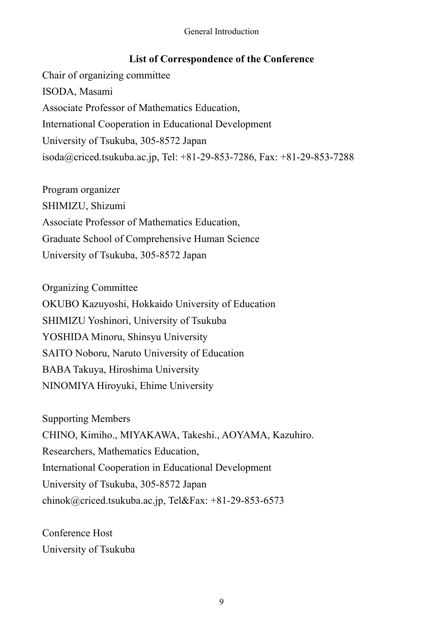#### General Introduction

### **List of Correspondence of the Conference**

Chair of organizing committee ISODA, Masami Associate Professor of Mathematics Education, International Cooperation in Educational Development University of Tsukuba, 305-8572 Japan isoda@criced.tsukuba.ac.jp, Tel: +81-29-853-7286, Fax: +81-29-853-7288

Program organizer SHIMIZU, Shizumi Associate Professor of Mathematics Education, Graduate School of Comprehensive Human Science University of Tsukuba, 305-8572 Japan

Organizing Committee OKUBO Kazuyoshi, Hokkaido University of Education SHIMIZU Yoshinori, University of Tsukuba YOSHIDA Minoru, Shinsyu University SAITO Noboru, Naruto University of Education BABA Takuya, Hiroshima University NINOMIYA Hiroyuki, Ehime University

Supporting Members CHINO, Kimiho., MIYAKAWA, Takeshi., AOYAMA, Kazuhiro. Researchers, Mathematics Education, International Cooperation in Educational Development University of Tsukuba, 305-8572 Japan chinok@criced.tsukuba.ac.jp, Tel&Fax: +81-29-853-6573

Conference Host University of Tsukuba